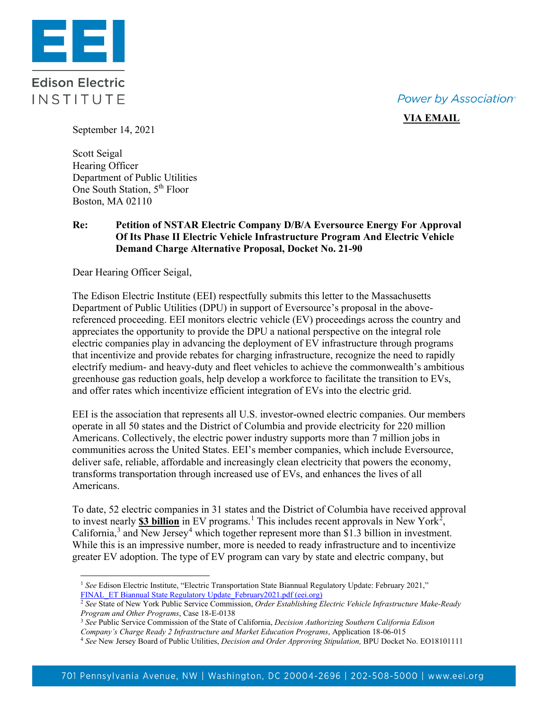**Power by Association**<sup>®</sup>

## **VIA EMAIL**

**Edison Electric** INSTITUTE

93

September 14, 2021

Scott Seigal Hearing Officer Department of Public Utilities One South Station, 5<sup>th</sup> Floor Boston, MA 02110

## **Re: Petition of NSTAR Electric Company D/B/A Eversource Energy For Approval Of Its Phase II Electric Vehicle Infrastructure Program And Electric Vehicle Demand Charge Alternative Proposal, Docket No. 21-90**

Dear Hearing Officer Seigal,

The Edison Electric Institute (EEI) respectfully submits this letter to the Massachusetts Department of Public Utilities (DPU) in support of Eversource's proposal in the abovereferenced proceeding. EEI monitors electric vehicle (EV) proceedings across the country and appreciates the opportunity to provide the DPU a national perspective on the integral role electric companies play in advancing the deployment of EV infrastructure through programs that incentivize and provide rebates for charging infrastructure, recognize the need to rapidly electrify medium- and heavy-duty and fleet vehicles to achieve the commonwealth's ambitious greenhouse gas reduction goals, help develop a workforce to facilitate the transition to EVs, and offer rates which incentivize efficient integration of EVs into the electric grid.

EEI is the association that represents all U.S. investor-owned electric companies. Our members operate in all 50 states and the District of Columbia and provide electricity for 220 million Americans. Collectively, the electric power industry supports more than 7 million jobs in communities across the United States. EEI's member companies, which include Eversource, deliver safe, reliable, affordable and increasingly clean electricity that powers the economy, transforms transportation through increased use of EVs, and enhances the lives of all Americans.

To date, 52 electric companies in 31 states and the District of Columbia have received approval to invest nearly **\$3 billion** in EV programs.<sup>[1](#page-0-0)</sup> This includes recent approvals in New York<sup>[2](#page-0-1)</sup>, California,<sup>[3](#page-0-2)</sup> and New Jersey<sup>[4](#page-0-3)</sup> which together represent more than \$1.3 billion in investment. While this is an impressive number, more is needed to ready infrastructure and to incentivize greater EV adoption. The type of EV program can vary by state and electric company, but

<span id="page-0-0"></span><sup>1</sup> *See* Edison Electric Institute, "Electric Transportation State Biannual Regulatory Update: February 2021," [FINAL\\_ET Biannual State Regulatory Update\\_February2021.pdf \(eei.org\)](https://www.eei.org/issuesandpolicy/electrictransportation/Documents/FINAL_ET%20Biannual%20State%20Regulatory%20Update_February2021.pdf)

<span id="page-0-1"></span><sup>2</sup> *See* State of New York Public Service Commission, *Order Establishing Electric Vehicle Infrastructure Make-Ready Program and Other Programs*, Case 18-E-0138

<span id="page-0-2"></span><sup>3</sup> *See* Public Service Commission of the State of California, *Decision Authorizing Southern California Edison* 

*Company's Charge Ready 2 Infrastructure and Market Education Programs*, Application 18-06-015

<span id="page-0-3"></span><sup>4</sup> *See* New Jersey Board of Public Utilities, *Decision and Order Approving Stipulation,* BPU Docket No. EO18101111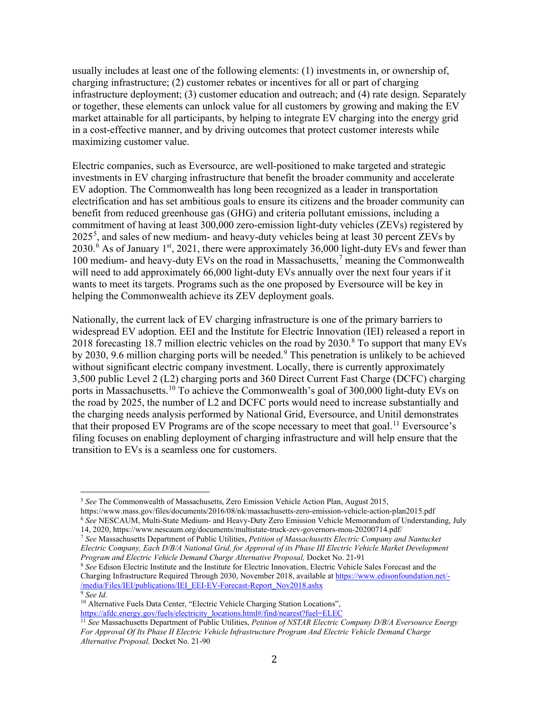usually includes at least one of the following elements: (1) investments in, or ownership of, charging infrastructure; (2) customer rebates or incentives for all or part of charging infrastructure deployment; (3) customer education and outreach; and (4) rate design. Separately or together, these elements can unlock value for all customers by growing and making the EV market attainable for all participants, by helping to integrate EV charging into the energy grid in a cost-effective manner, and by driving outcomes that protect customer interests while maximizing customer value.

Electric companies, such as Eversource, are well-positioned to make targeted and strategic investments in EV charging infrastructure that benefit the broader community and accelerate EV adoption. The Commonwealth has long been recognized as a leader in transportation electrification and has set ambitious goals to ensure its citizens and the broader community can benefit from reduced greenhouse gas (GHG) and criteria pollutant emissions, including a commitment of having at least 300,000 zero-emission light-duty vehicles (ZEVs) registered by  $2025<sup>5</sup>$  $2025<sup>5</sup>$  $2025<sup>5</sup>$ , and sales of new medium- and heavy-duty vehicles being at least 30 percent ZEVs by 2030.<sup>[6](#page-1-1)</sup> As of January 1<sup>st</sup>, 2021, there were approximately 36,000 light-duty EVs and fewer than 100 medium- and heavy-duty EVs on the road in Massachusetts, [7](#page-1-2) meaning the Commonwealth will need to add approximately 66,000 light-duty EVs annually over the next four years if it wants to meet its targets. Programs such as the one proposed by Eversource will be key in helping the Commonwealth achieve its ZEV deployment goals.

Nationally, the current lack of EV charging infrastructure is one of the primary barriers to widespread EV adoption. EEI and the Institute for Electric Innovation (IEI) released a report in 201[8](#page-1-3) forecasting 18.7 million electric vehicles on the road by 2030.<sup>8</sup> To support that many EVs by 2030, [9](#page-1-4).6 million charging ports will be needed.<sup>9</sup> This penetration is unlikely to be achieved without significant electric company investment. Locally, there is currently approximately 3,500 public Level 2 (L2) charging ports and 360 Direct Current Fast Charge (DCFC) charging ports in Massachusetts.<sup>[10](#page-1-5)</sup> To achieve the Commonwealth's goal of 300,000 light-duty EVs on the road by 2025, the number of L2 and DCFC ports would need to increase substantially and the charging needs analysis performed by National Grid, Eversource, and Unitil demonstrates that their proposed EV Programs are of the scope necessary to meet that goal.<sup>[11](#page-1-6)</sup> Eversource's filing focuses on enabling deployment of charging infrastructure and will help ensure that the transition to EVs is a seamless one for customers.

<span id="page-1-1"></span><sup>6</sup> *See* NESCAUM, Multi-State Medium- and Heavy-Duty Zero Emission Vehicle Memorandum of Understanding, July 14, 2020, https://www.nescaum.org/documents/multistate-truck-zev-governors-mou-20200714.pdf/

<span id="page-1-3"></span><sup>8</sup> *See* Edison Electric Institute and the Institute for Electric Innovation, Electric Vehicle Sales Forecast and the Charging Infrastructure Required Through 2030, November 2018, available a[t https://www.edisonfoundation.net/-](https://www.edisonfoundation.net/-/media/Files/IEI/publications/IEI_EEI-EV-Forecast-Report_Nov2018.ashx) [/media/Files/IEI/publications/IEI\\_EEI-EV-Forecast-Report\\_Nov2018.ashx](https://www.edisonfoundation.net/-/media/Files/IEI/publications/IEI_EEI-EV-Forecast-Report_Nov2018.ashx)

<span id="page-1-4"></span><sup>9</sup> *See Id.*

<span id="page-1-0"></span><sup>5</sup> *See* The Commonwealth of Massachusetts, Zero Emission Vehicle Action Plan, August 2015, https://www.mass.gov/files/documents/2016/08/nk/massachusetts-zero-emission-vehicle-action-plan2015.pdf

<span id="page-1-2"></span><sup>7</sup> *See* Massachusetts Department of Public Utilities, *Petition of Massachusetts Electric Company and Nantucket Electric Company, Each D/B/A National Grid, for Approval of its Phase III Electric Vehicle Market Development Program and Electric Vehicle Demand Charge Alternative Proposal,* Docket No. 21-91

<span id="page-1-5"></span><sup>&</sup>lt;sup>10</sup> Alternative Fuels Data Center, "Electric Vehicle Charging Station Locations", [https://afdc.energy.gov/fuels/electricity\\_locations.html#/find/nearest?fuel=ELEC](https://afdc.energy.gov/fuels/electricity_locations.html#/find/nearest?fuel=ELEC)

<span id="page-1-6"></span><sup>11</sup> *See* Massachusetts Department of Public Utilities, *Petition of NSTAR Electric Company D/B/A Eversource Energy For Approval Of Its Phase II Electric Vehicle Infrastructure Program And Electric Vehicle Demand Charge Alternative Proposal,* Docket No. 21-90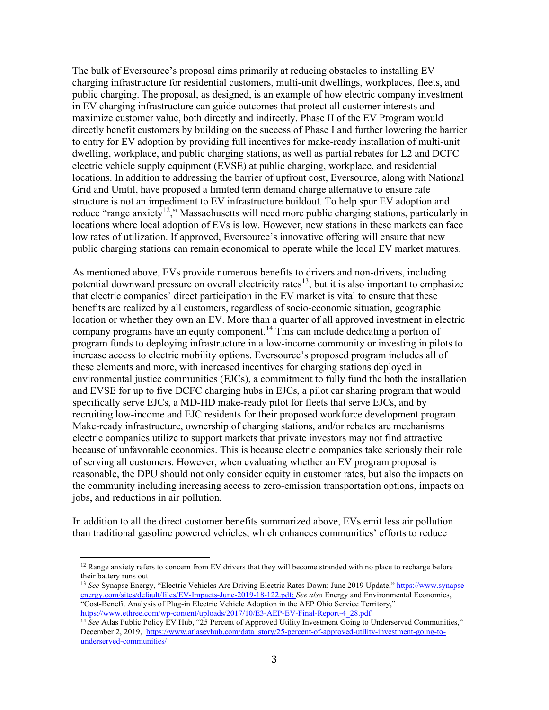The bulk of Eversource's proposal aims primarily at reducing obstacles to installing EV charging infrastructure for residential customers, multi-unit dwellings, workplaces, fleets, and public charging. The proposal, as designed, is an example of how electric company investment in EV charging infrastructure can guide outcomes that protect all customer interests and maximize customer value, both directly and indirectly. Phase II of the EV Program would directly benefit customers by building on the success of Phase I and further lowering the barrier to entry for EV adoption by providing full incentives for make-ready installation of multi-unit dwelling, workplace, and public charging stations, as well as partial rebates for L2 and DCFC electric vehicle supply equipment (EVSE) at public charging, workplace, and residential locations. In addition to addressing the barrier of upfront cost, Eversource, along with National Grid and Unitil, have proposed a limited term demand charge alternative to ensure rate structure is not an impediment to EV infrastructure buildout. To help spur EV adoption and reduce "range anxiety<sup>12</sup>," Massachusetts will need more public charging stations, particularly in locations where local adoption of EVs is low. However, new stations in these markets can face low rates of utilization. If approved, Eversource's innovative offering will ensure that new public charging stations can remain economical to operate while the local EV market matures.

As mentioned above, EVs provide numerous benefits to drivers and non-drivers, including potential downward pressure on overall electricity rates<sup>13</sup>, but it is also important to emphasize that electric companies' direct participation in the EV market is vital to ensure that these benefits are realized by all customers, regardless of socio-economic situation, geographic location or whether they own an EV. More than a quarter of all approved investment in electric company programs have an equity component.[14](#page-2-2) This can include dedicating a portion of program funds to deploying infrastructure in a low-income community or investing in pilots to increase access to electric mobility options. Eversource's proposed program includes all of these elements and more, with increased incentives for charging stations deployed in environmental justice communities (EJCs), a commitment to fully fund the both the installation and EVSE for up to five DCFC charging hubs in EJCs, a pilot car sharing program that would specifically serve EJCs, a MD-HD make-ready pilot for fleets that serve EJCs, and by recruiting low-income and EJC residents for their proposed workforce development program. Make-ready infrastructure, ownership of charging stations, and/or rebates are mechanisms electric companies utilize to support markets that private investors may not find attractive because of unfavorable economics. This is because electric companies take seriously their role of serving all customers. However, when evaluating whether an EV program proposal is reasonable, the DPU should not only consider equity in customer rates, but also the impacts on the community including increasing access to zero-emission transportation options, impacts on jobs, and reductions in air pollution.

In addition to all the direct customer benefits summarized above, EVs emit less air pollution than traditional gasoline powered vehicles, which enhances communities' efforts to reduce

<span id="page-2-0"></span> $12$  Range anxiety refers to concern from EV drivers that they will become stranded with no place to recharge before their battery runs out

<span id="page-2-1"></span><sup>&</sup>lt;sup>13</sup> See Synapse Energy, "Electric Vehicles Are Driving Electric Rates Down: June 2019 Update,[" https://www.synapse](https://www.synapse-energy.com/sites/default/files/EV-Impacts-June-2019-18-122.pdf)[energy.com/sites/default/files/EV-Impacts-June-2019-18-122.pdf;](https://www.synapse-energy.com/sites/default/files/EV-Impacts-June-2019-18-122.pdf) *See also* Energy and Environmental Economics, "Cost-Benefit Analysis of Plug-in Electric Vehicle Adoption in the AEP Ohio Service Territory," [https://www.ethree.com/wp-content/uploads/2017/10/E3-AEP-EV-Final-Report-4\\_28.pdf](https://www.ethree.com/wp-content/uploads/2017/10/E3-AEP-EV-Final-Report-4_28.pdf)

<span id="page-2-2"></span><sup>&</sup>lt;sup>14</sup> See Atlas Public Policy EV Hub, "25 Percent of Approved Utility Investment Going to Underserved Communities," December 2, 2019, [https://www.atlasevhub.com/data\\_story/25-percent-of-approved-utility-investment-going-to](https://www.atlasevhub.com/data_story/25-percent-of-approved-utility-investment-going-to-underserved-communities/)[underserved-communities/](https://www.atlasevhub.com/data_story/25-percent-of-approved-utility-investment-going-to-underserved-communities/)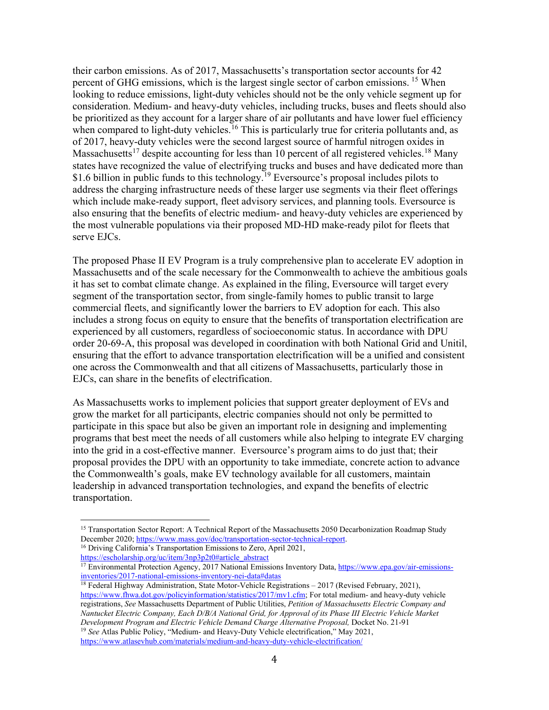their carbon emissions. As of 2017, Massachusetts's transportation sector accounts for 42 percent of GHG emissions, which is the largest single sector of carbon emissions. <sup>[15](#page-3-0)</sup> When looking to reduce emissions, light-duty vehicles should not be the only vehicle segment up for consideration. Medium- and heavy-duty vehicles, including trucks, buses and fleets should also be prioritized as they account for a larger share of air pollutants and have lower fuel efficiency when compared to light-duty vehicles.<sup>[16](#page-3-1)</sup> This is particularly true for criteria pollutants and, as of 2017, heavy-duty vehicles were the second largest source of harmful nitrogen oxides in Massachusetts<sup>[17](#page-3-2)</sup> despite accounting for less than 10 percent of all registered vehicles.<sup>[18](#page-3-3)</sup> Many states have recognized the value of electrifying trucks and buses and have dedicated more than \$1.6 billion in public funds to this technology.<sup>[19](#page-3-4)</sup> Eversource's proposal includes pilots to address the charging infrastructure needs of these larger use segments via their fleet offerings which include make-ready support, fleet advisory services, and planning tools. Eversource is also ensuring that the benefits of electric medium- and heavy-duty vehicles are experienced by the most vulnerable populations via their proposed MD-HD make-ready pilot for fleets that serve EJCs.

The proposed Phase II EV Program is a truly comprehensive plan to accelerate EV adoption in Massachusetts and of the scale necessary for the Commonwealth to achieve the ambitious goals it has set to combat climate change. As explained in the filing, Eversource will target every segment of the transportation sector, from single-family homes to public transit to large commercial fleets, and significantly lower the barriers to EV adoption for each. This also includes a strong focus on equity to ensure that the benefits of transportation electrification are experienced by all customers, regardless of socioeconomic status. In accordance with DPU order 20-69-A, this proposal was developed in coordination with both National Grid and Unitil, ensuring that the effort to advance transportation electrification will be a unified and consistent one across the Commonwealth and that all citizens of Massachusetts, particularly those in EJCs, can share in the benefits of electrification.

As Massachusetts works to implement policies that support greater deployment of EVs and grow the market for all participants, electric companies should not only be permitted to participate in this space but also be given an important role in designing and implementing programs that best meet the needs of all customers while also helping to integrate EV charging into the grid in a cost-effective manner. Eversource's program aims to do just that; their proposal provides the DPU with an opportunity to take immediate, concrete action to advance the Commonwealth's goals, make EV technology available for all customers, maintain leadership in advanced transportation technologies, and expand the benefits of electric transportation.

<span id="page-3-0"></span><sup>&</sup>lt;sup>15</sup> Transportation Sector Report: A Technical Report of the Massachusetts 2050 Decarbonization Roadmap Study December 2020; [https://www.mass.gov/doc/transportation-sector-technical-report.](https://www.mass.gov/doc/transportation-sector-technical-report) <sup>16</sup> Driving California's Transportation Emissions to Zero, April 2021,

<span id="page-3-1"></span>[https://escholarship.org/uc/item/3np3p2t0#article\\_abstract](https://escholarship.org/uc/item/3np3p2t0#article_abstract)

<span id="page-3-2"></span><sup>&</sup>lt;sup>17</sup> Environmental Protection Agency, 2017 National Emissions Inventory Data[, https://www.epa.gov/air-emissions](https://www.epa.gov/air-emissions-inventories/2017-national-emissions-inventory-nei-data#datas)[inventories/2017-national-emissions-inventory-nei-data#datas](https://www.epa.gov/air-emissions-inventories/2017-national-emissions-inventory-nei-data#datas)

<span id="page-3-4"></span><span id="page-3-3"></span><sup>18</sup> Federal Highway Administration, State Motor-Vehicle Registrations – 2017 (Revised February, 2021), [https://www.fhwa.dot.gov/policyinformation/statistics/2017/mv1.cfm;](https://www.fhwa.dot.gov/policyinformation/statistics/2017/mv1.cfm) For total medium- and heavy-duty vehicle registrations, *See* Massachusetts Department of Public Utilities, *Petition of Massachusetts Electric Company and Nantucket Electric Company, Each D/B/A National Grid, for Approval of its Phase III Electric Vehicle Market Development Program and Electric Vehicle Demand Charge Alternative Proposal,* Docket No. 21-91 <sup>19</sup> *See* Atlas Public Policy, "Medium- and Heavy-Duty Vehicle electrification," May 2021,